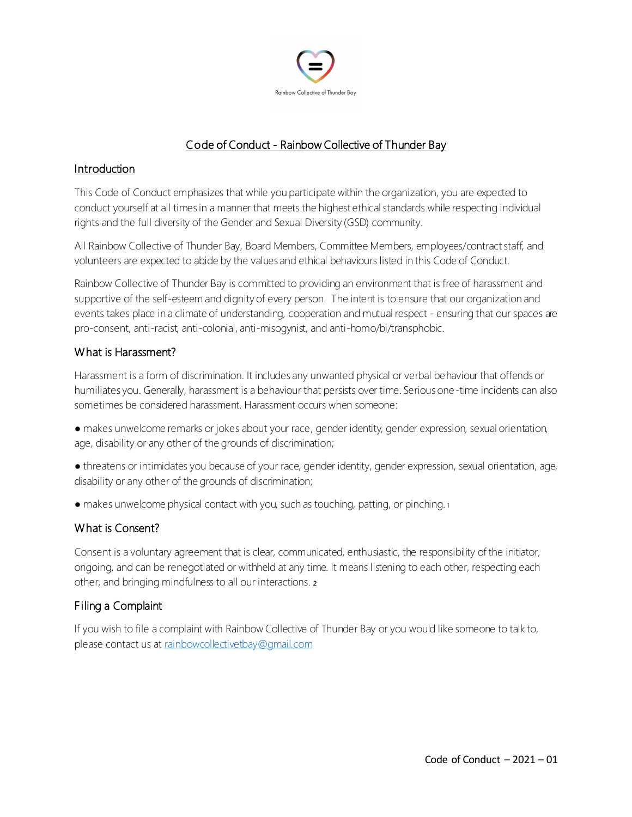

# Code of Conduct - Rainbow Collective of Thunder Bay

#### Introduction

This Code of Conduct emphasizes that while you participate within the organization, you are expected to conduct yourself at all times in a manner that meets the highest ethical standards while respecting individual rights and the full diversity of the Gender and Sexual Diversity (GSD) community.

All Rainbow Collective of Thunder Bay, Board Members, Committee Members, employees/contract staff, and volunteers are expected to abide by the values and ethical behaviours listed in this Code of Conduct.

Rainbow Collective of Thunder Bay is committed to providing an environment that is free of harassment and supportive of the self-esteem and dignity of every person. The intent is to ensure that our organization and events takes place in a climate of understanding, cooperation and mutual respect - ensuring that our spaces are pro-consent, anti-racist, anti-colonial, anti-misogynist, and anti-homo/bi/transphobic.

#### What is Harassment?

Harassment is a form of discrimination. It includes any unwanted physical or verbal behaviour that offends or humiliates you. Generally, harassment is a behaviour that persists over time. Serious one-time incidents can also sometimes be considered harassment. Harassment occurs when someone:

- makes unwelcome remarks or jokes about your race, gender identity, gender expression, sexual orientation, age, disability or any other of the grounds of discrimination;
- threatens or intimidates you because of your race, gender identity, gender expression, sexual orientation, age, disability or any other of the grounds of discrimination;
- makes unwelcome physical contact with you, such as touching, patting, or pinching. 1

### What is Consent?

Consent is a voluntary agreement that is clear, communicated, enthusiastic, the responsibility of the initiator, ongoing, and can be renegotiated or withheld at any time. It means listening to each other, respecting each other, and bringing mindfulness to all our interactions. <sup>2</sup>

### Filing a Complaint

If you wish to file a complaint with Rainbow Collective of Thunder Bay or you would like someone to talk to, please contact us a[t rainbowcollectivetbay@gmail.com](mailto:rainbowcollectivetbay@gmail.com)